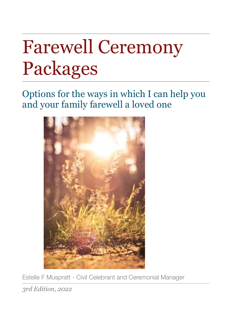# Farewell Ceremony Packages

Options for the ways in which I can help you and your family farewell a loved one



Estelle F Muspratt - Civil Celebrant and Ceremonial Manager

*3rd Edition, 2022*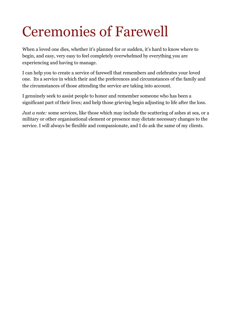## Ceremonies of Farewell

When a loved one dies, whether it's planned for or sudden, it's hard to know where to begin, and easy, very easy to feel completely overwhelmed by everything you are experiencing and having to manage.

I can help you to create a service of farewell that remembers and celebrates your loved one. Its a service in which their and the preferences and circumstances of the family and the circumstances of those attending the service are taking into account.

I genuinely seek to assist people to honor and remember someone who has been a significant part of their lives; and help those grieving begin adjusting to life after the loss.

*Just a note:* some services, like those which may include the scattering of ashes at sea, or a military or other organisational element or presence may dictate necessary changes to the service. I will always be flexible and compassionate, and I do ask the same of my clients.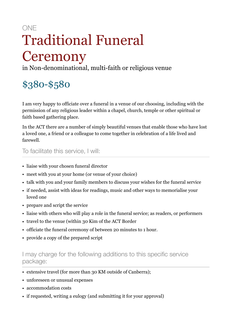## ONE Traditional Funeral **Ceremony**

in Non-denominational, multi-faith or religious venue

## \$380-\$580

I am very happy to officiate over a funeral in a venue of our choosing, including with the permission of any religious leader within a chapel, church, temple or other spiritual or faith based gathering place.

In the ACT there are a number of simply beautiful venues that enable those who have lost a loved one, a friend or a colleague to come together in celebration of a life lived and farewell.

To facilitate this service, I will:

- liaise with your chosen funeral director
- meet with you at your home (or venue of your choice)
- talk with you and your family members to discuss your wishes for the funeral service
- if needed, assist with ideas for readings, music and other ways to memorialise your loved one
- prepare and script the service
- liaise with others who will play a role in the funeral service; as readers, or performers
- travel to the venue (within 30 Kim of the ACT Border
- officiate the funeral ceremony of between 20 minutes to 1 hour.
- provide a copy of the prepared script

- extensive travel (for more than 30 KM outside of Canberra);
- unforeseen or unusual expenses
- accommodation costs
- if requested, writing a eulogy (and submitting it for your approval)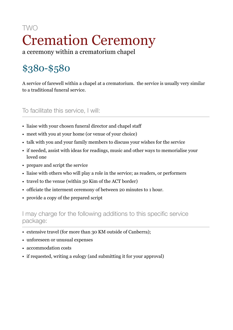### TWO Cremation Ceremony a ceremony within a crematorium chapel

## \$380-\$580

A service of farewell within a chapel at a crematorium. the service is usually very similar to a traditional funeral service.

To facilitate this service, I will:

- liaise with your chosen funeral director and chapel staff
- meet with you at your home (or venue of your choice)
- talk with you and your family members to discuss your wishes for the service
- if needed, assist with ideas for readings, music and other ways to memorialise your loved one
- prepare and script the service
- liaise with others who will play a role in the service; as readers, or performers
- travel to the venue (within 30 Kim of the ACT border)
- officiate the interment ceremony of between 20 minutes to 1 hour.
- provide a copy of the prepared script

- extensive travel (for more than 30 KM outside of Canberra);
- unforeseen or unusual expenses
- accommodation costs
- if requested, writing a eulogy (and submitting it for your approval)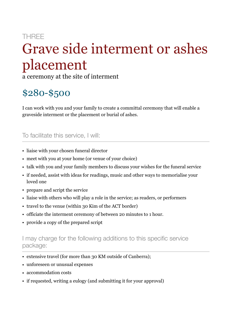### **THRFF**

## Grave side interment or ashes placement

a ceremony at the site of interment

## \$280-\$500

I can work with you and your family to create a committal ceremony that will enable a graveside interment or the placement or burial of ashes.

#### To facilitate this service, I will:

- liaise with your chosen funeral director
- meet with you at your home (or venue of your choice)
- talk with you and your family members to discuss your wishes for the funeral service
- if needed, assist with ideas for readings, music and other ways to memorialise your loved one
- prepare and script the service
- liaise with others who will play a role in the service; as readers, or performers
- travel to the venue (within 30 Kim of the ACT border)
- officiate the interment ceremony of between 20 minutes to 1 hour.
- provide a copy of the prepared script

- extensive travel (for more than 30 KM outside of Canberra);
- unforeseen or unusual expenses
- accommodation costs
- if requested, writing a eulogy (and submitting it for your approval)